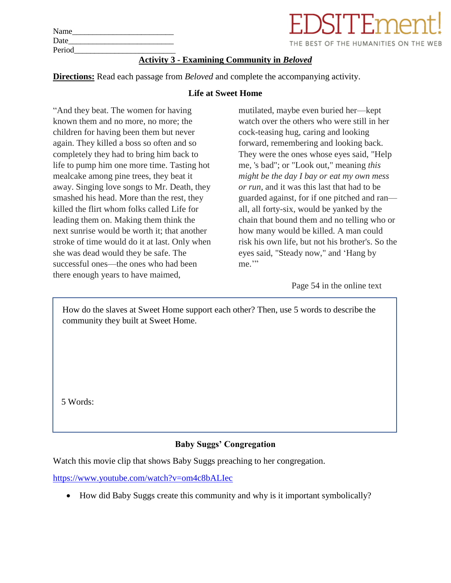| Name   | EDSITEment!                                        |
|--------|----------------------------------------------------|
| Date   | THE BEST OF THE HUMANITIES ON THE WEB              |
| Period |                                                    |
|        | <b>Activity 3 - Examining Community in Beloved</b> |

**Directions:** Read each passage from *Beloved* and complete the accompanying activity.

#### **Life at Sweet Home**

"And they beat. The women for having known them and no more, no more; the children for having been them but never again. They killed a boss so often and so completely they had to bring him back to life to pump him one more time. Tasting hot mealcake among pine trees, they beat it away. Singing love songs to Mr. Death, they smashed his head. More than the rest, they killed the flirt whom folks called Life for leading them on. Making them think the next sunrise would be worth it; that another stroke of time would do it at last. Only when she was dead would they be safe. The successful ones—the ones who had been there enough years to have maimed,

mutilated, maybe even buried her—kept watch over the others who were still in her cock-teasing hug, caring and looking forward, remembering and looking back. They were the ones whose eyes said, "Help me, 's bad"; or "Look out," meaning *this might be the day I bay or eat my own mess or run*, and it was this last that had to be guarded against, for if one pitched and ran all, all forty-six, would be yanked by the chain that bound them and no telling who or how many would be killed. A man could risk his own life, but not his brother's. So the eyes said, "Steady now," and 'Hang by me."

Page 54 in the online text

How do the slaves at Sweet Home support each other? Then, use 5 words to describe the community they built at Sweet Home.

5 Words:

# **Baby Suggs' Congregation**

Watch this movie clip that shows Baby Suggs preaching to her congregation.

<https://www.youtube.com/watch?v=om4c8bALIec>

• How did Baby Suggs create this community and why is it important symbolically?